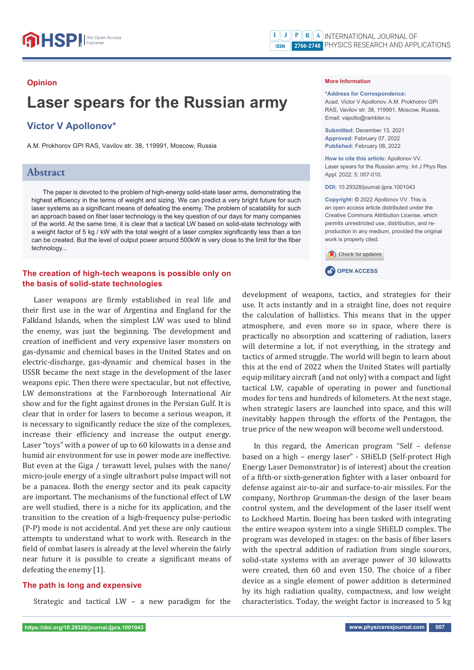#### **Opinion**

# **Laser spears for the Russian army**

# **Victor V Apollonov\***

A.M. Prokhorov GPI RAS, Vavilov str. 38, 119991, Moscow, Russia

## **Abstract**

The paper is devoted to the problem of high-energy solid-state laser arms, demonstrating the highest efficiency in the terms of weight and sizing. We can predict a very bright future for such laser systems as a significant means of defeating the enemy. The problem of scalability for such an approach based on fiber laser technology is the key question of our days for many companies of the world. At the same time, it is clear that a tactical LW based on solid-state technology with a weight factor of 5 kg / kW with the total weight of a laser complex significantly less than a ton can be created. But the level of output power around 500kW is very close to the limit for the fiber technology...

## **The creation of high-tech weapons is possible only on the basis of solid-state technologies**

Laser weapons are firmly established in real life and their first use in the war of Argentina and England for the Falkland Islands, when the simplest LW was used to blind the enemy, was just the beginning. The development and creation of inefficient and very expensive laser monsters on gas-dynamic and chemical bases in the United States and on electric-discharge, gas-dynamic and chemical bases in the USSR became the next stage in the development of the laser weapons epic. Then there were spectacular, but not effective, LW demonstrations at the Farnborough International Air show and for the fight against drones in the Persian Gulf. It is clear that in order for lasers to become a serious weapon, it is necessary to significantly reduce the size of the complexes, increase their efficiency and increase the output energy. Laser "toys" with a power of up to 60 kilowatts in a dense and humid air environment for use in power mode are ineffective. But even at the Giga / terawatt level, pulses with the nano/ micro-joule energy of a single ultrashort pulse impact will not be a panacea. Both the energy sector and its peak capacity are important. The mechanisms of the functional effect of LW are well studied, there is a niche for its application, and the transition to the creation of a high-frequency pulse-periodic (P-P) mode is not accidental. And yet these are only cautious attempts to understand what to work with. Research in the field of combat lasers is already at the level wherein the fairly near future it is possible to create a significant means of defeating the enemy [1].

#### **The path is long and expensive**

Strategic and tactical LW – a new paradigm for the

**\*Address for Correspondence:**  Acad. Victor V Apollonov, A.M. Prokhorov GPI RAS, Vavilov str. 38, 119991, Moscow, Russia, Email: vapollo@rambler.ru

**Submitted:** December 13, 2021 **Approved:** February 07, 2022 **Published:** February 08, 2022

**How to cite this article:** Apollonov VV. Laser spears for the Russian army. Int J Phys Res Appl. 2022; 5: 007-010.

**DOI:** 10.29328/journal.ijpra.1001043

**Copyright: ©** 2022 Apollonov VV. This is an open access article distributed under the Creative Commons Attribution License, which permits unrestricted use, distribution, and reproduction in any medium, provided the original work is properly cited.



**CP** OPEN ACCESS

development of weapons, tactics, and strategies for their use. It acts instantly and in a straight line, does not require the calculation of ballistics. This means that in the upper atmosphere, and even more so in space, where there is practically no absorption and scattering of radiation, lasers will determine a lot, if not everything, in the strategy and tactics of armed struggle. The world will begin to learn about this at the end of 2022 when the United States will partially equip military aircraft (and not only) with a compact and light tactical LW, capable of operating in power and functional modes for tens and hundreds of kilometers. At the next stage, when strategic lasers are launched into space, and this will inevitably happen through the efforts of the Pentagon, the true price of the new weapon will become well understood.

In this regard, the American program "Self – defense based on a high – energy laser" - SHiELD (Self-protect High Energy Laser Demonstrator) is of interest) about the creation of a fifth-or sixth-generation fighter with a laser onboard for defense against air-to-air and surface-to-air missiles. For the company, Northrop Grumman-the design of the laser beam control system, and the development of the laser itself went to Lockheed Martin. Boeing has been tasked with integrating the entire weapon system into a single SHiELD complex. The program was developed in stages: on the basis of fiber lasers with the spectral addition of radiation from single sources, solid-state systems with an average power of 30 kilowatts were created, then 60 and even 150. The choice of a fiber device as a single element of power addition is determined by its high radiation quality, compactness, and low weight characteristics. Today, the weight factor is increased to 5 kg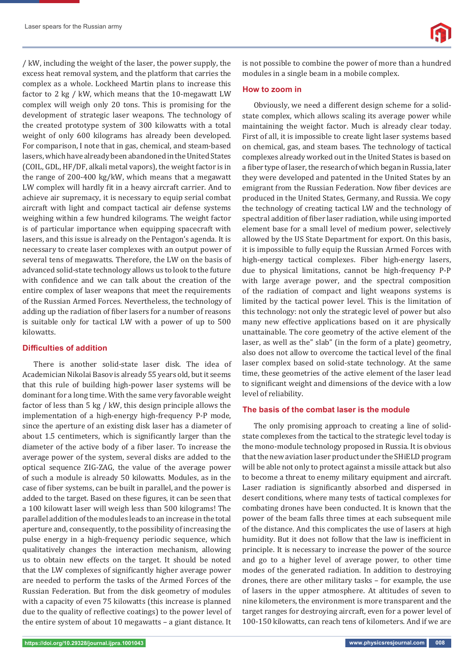/ kW, including the weight of the laser, the power supply, the excess heat removal system, and the platform that carries the complex as a whole. Lockheed Martin plans to increase this factor to 2 kg / kW, which means that the 10-megawatt LW complex will weigh only 20 tons. This is promising for the development of strategic laser weapons. The technology of the created prototype system of 300 kilowatts with a total weight of only 600 kilograms has already been developed. For comparison, I note that in gas, chemical, and steam-based lasers, which have already been abandoned in the United States (COIL, GDL, HF/DF, alkali metal vapors), the weight factor is in the range of 200-400 kg/kW, which means that a megawatt LW complex will hardly fit in a heavy aircraft carrier. And to achieve air supremacy, it is necessary to equip serial combat aircraft with light and compact tactical air defense systems weighing within a few hundred kilograms. The weight factor is of particular importance when equipping spacecraft with lasers, and this issue is already on the Pentagon's agenda. It is necessary to create laser complexes with an output power of several tens of megawatts. Therefore, the LW on the basis of advanced solid-state technology allows us to look to the future with confidence and we can talk about the creation of the entire complex of laser weapons that meet the requirements of the Russian Armed Forces. Nevertheless, the technology of adding up the radiation of fiber lasers for a number of reasons is suitable only for tactical LW with a power of up to 500 kilowatts.

## **Diffi culties of addition**

There is another solid-state laser disk. The idea of Academician Nikolai Basov is already 55 years old, but it seems that this rule of building high-power laser systems will be dominant for a long time. With the same very favorable weight factor of less than 5 kg / kW, this design principle allows the implementation of a high-energy high-frequency P-P mode, since the aperture of an existing disk laser has a diameter of about 1.5 centimeters, which is significantly larger than the diameter of the active body of a fiber laser. To increase the average power of the system, several disks are added to the optical sequence ZIG-ZAG, the value of the average power of such a module is already 50 kilowatts. Modules, as in the case of fiber systems, can be built in parallel, and the power is added to the target. Based on these figures, it can be seen that a 100 kilowatt laser will weigh less than 500 kilograms! The parallel addition of the modules leads to an increase in the total aperture and, consequently, to the possibility of increasing the pulse energy in a high-frequency periodic sequence, which qualitatively changes the interaction mechanism, allowing us to obtain new effects on the target. It should be noted that the LW complexes of significantly higher average power are needed to perform the tasks of the Armed Forces of the Russian Federation. But from the disk geometry of modules with a capacity of even 75 kilowatts (this increase is planned due to the quality of reflective coatings) to the power level of the entire system of about 10 megawatts – a giant distance. It is not possible to combine the power of more than a hundred modules in a single beam in a mobile complex.

#### **How to zoom in**

Obviously, we need a different design scheme for a solidstate complex, which allows scaling its average power while maintaining the weight factor. Much is already clear today. First of all, it is impossible to create light laser systems based on chemical, gas, and steam bases. The technology of tactical complexes already worked out in the United States is based on a fiber type of laser, the research of which began in Russia, later they were developed and patented in the United States by an emigrant from the Russian Federation. Now fiber devices are produced in the United States, Germany, and Russia. We copy the technology of creating tactical LW and the technology of spectral addition of fiber laser radiation, while using imported element base for a small level of medium power, selectively allowed by the US State Department for export. On this basis, it is impossible to fully equip the Russian Armed Forces with high-energy tactical complexes. Fiber high-energy lasers, due to physical limitations, cannot be high-frequency P-P with large average power, and the spectral composition of the radiation of compact and light weapons systems is limited by the tactical power level. This is the limitation of this technology: not only the strategic level of power but also many new effective applications based on it are physically unattainable. The core geometry of the active element of the laser, as well as the" slab" (in the form of a plate) geometry, also does not allow to overcome the tactical level of the final laser complex based on solid-state technology. At the same time, these geometries of the active element of the laser lead to significant weight and dimensions of the device with a low level of reliability.

## **The basis of the combat laser is the module**

The only promising approach to creating a line of solidstate complexes from the tactical to the strategic level today is the mono-module technology proposed in Russia. It is obvious that the new aviation laser product under the SHiELD program will be able not only to protect against a missile attack but also to become a threat to enemy military equipment and aircraft. Laser radiation is significantly absorbed and dispersed in desert conditions, where many tests of tactical complexes for combating drones have been conducted. It is known that the power of the beam falls three times at each subsequent mile of the distance. And this complicates the use of lasers at high humidity. But it does not follow that the law is inefficient in principle. It is necessary to increase the power of the source and go to a higher level of average power, to other time modes of the generated radiation. In addition to destroying drones, there are other military tasks – for example, the use of lasers in the upper atmosphere. At altitudes of seven to nine kilometers, the environment is more transparent and the target ranges for destroying aircraft, even for a power level of 100-150 kilowatts, can reach tens of kilometers. And if we are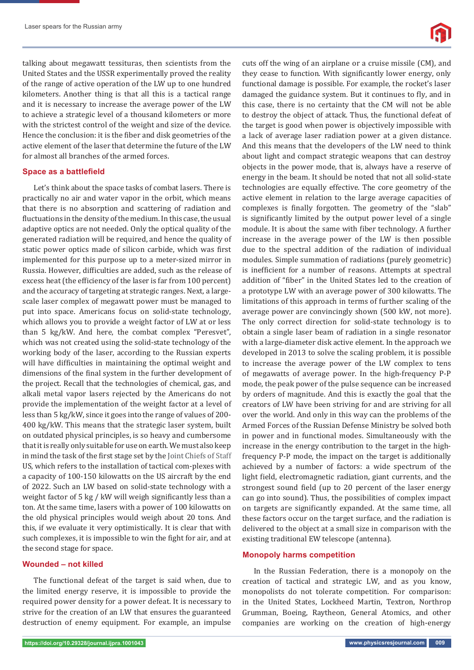

talking about megawatt tessituras, then scientists from the United States and the USSR experimentally proved the reality of the range of active operation of the LW up to one hundred kilometers. Another thing is that all this is a tactical range and it is necessary to increase the average power of the LW to achieve a strategic level of a thousand kilometers or more with the strictest control of the weight and size of the device. Hence the conclusion: it is the fiber and disk geometries of the active element of the laser that determine the future of the LW for almost all branches of the armed forces.

#### **Space as a battlefield**

Let's think about the space tasks of combat lasers. There is practically no air and water vapor in the orbit, which means that there is no absorption and scattering of radiation and fluctuations in the density of the medium. In this case, the usual adaptive optics are not needed. Only the optical quality of the generated radiation will be required, and hence the quality of static power optics made of silicon carbide, which was first implemented for this purpose up to a meter-sized mirror in Russia. However, difficulties are added, such as the release of excess heat (the efficiency of the laser is far from 100 percent) and the accuracy of targeting at strategic ranges. Next, a largescale laser complex of megawatt power must be managed to put into space. Americans focus on solid-state technology, which allows you to provide a weight factor of LW at or less than 5 kg/kW. And here, the combat complex "Peresvet", which was not created using the solid-state technology of the working body of the laser, according to the Russian experts will have difficulties in maintaining the optimal weight and dimensions of the final system in the further development of the project. Recall that the technologies of chemical, gas, and alkali metal vapor lasers rejected by the Americans do not provide the implementation of the weight factor at a level of less than 5 kg/kW, since it goes into the range of values of 200- 400 kg/kW. This means that the strategic laser system, built on outdated physical principles, is so heavy and cumbersome that it is really only suitable for use on earth. We must also keep in mind the task of the first stage set by the Joint Chiefs of Staff US, which refers to the installation of tactical com-plexes with a capacity of 100-150 kilowatts on the US aircraft by the end of 2022. Such an LW based on solid-state technology with a weight factor of 5 kg / kW will weigh significantly less than a ton. At the same time, lasers with a power of 100 kilowatts on the old physical principles would weigh about 20 tons. And this, if we evaluate it very optimistically. It is clear that with such complexes, it is impossible to win the fight for air, and at the second stage for space.

#### **Wounded – not killed**

The functional defeat of the target is said when, due to the limited energy reserve, it is impossible to provide the required power density for a power defeat. It is necessary to strive for the creation of an LW that ensures the guaranteed destruction of enemy equipment. For example, an impulse

cuts off the wing of an airplane or a cruise missile (CM), and they cease to function. With significantly lower energy, only functional damage is possible. For example, the rocket's laser damaged the guidance system. But it continues to fly, and in this case, there is no certainty that the CM will not be able to destroy the object of attack. Thus, the functional defeat of the target is good when power is objectively impossible with a lack of average laser radiation power at a given distance. And this means that the developers of the LW need to think about light and compact strategic weapons that can destroy objects in the power mode, that is, always have a reserve of energy in the beam. It should be noted that not all solid-state technologies are equally effective. The core geometry of the active element in relation to the large average capacities of complexes is finally forgotten. The geometry of the "slab" is significantly limited by the output power level of a single module. It is about the same with fiber technology. A further increase in the average power of the LW is then possible due to the spectral addition of the radiation of individual modules. Simple summation of radiations (purely geometric) is inefficient for a number of reasons. Attempts at spectral addition of "fiber" in the United States led to the creation of a prototype LW with an average power of 300 kilowatts. The limitations of this approach in terms of further scaling of the average power are convincingly shown (500 kW, not more). The only correct direction for solid-state technology is to obtain a single laser beam of radiation in a single resonator with a large-diameter disk active element. In the approach we developed in 2013 to solve the scaling problem, it is possible to increase the average power of the LW complex to tens of megawatts of average power. In the high-frequency P-P mode, the peak power of the pulse sequence can be increased by orders of magnitude. And this is exactly the goal that the creators of LW have been striving for and are striving for all over the world. And only in this way can the problems of the Armed Forces of the Russian Defense Ministry be solved both in power and in functional modes. Simultaneously with the increase in the energy contribution to the target in the highfrequency P-P mode, the impact on the target is additionally achieved by a number of factors: a wide spectrum of the light field, electromagnetic radiation, giant currents, and the strongest sound field (up to 20 percent of the laser energy can go into sound). Thus, the possibilities of complex impact on targets are significantly expanded. At the same time, all these factors occur on the target surface, and the radiation is delivered to the object at a small size in comparison with the existing traditional EW telescope (antenna).

#### **Monopoly harms competition**

In the Russian Federation, there is a monopoly on the creation of tactical and strategic LW, and as you know, monopolists do not tolerate competition. For comparison: in the United States, Lockheed Martin, Textron, Northrop Grumman, Boeing, Raytheon, General Atomics, and other companies are working on the creation of high-energy